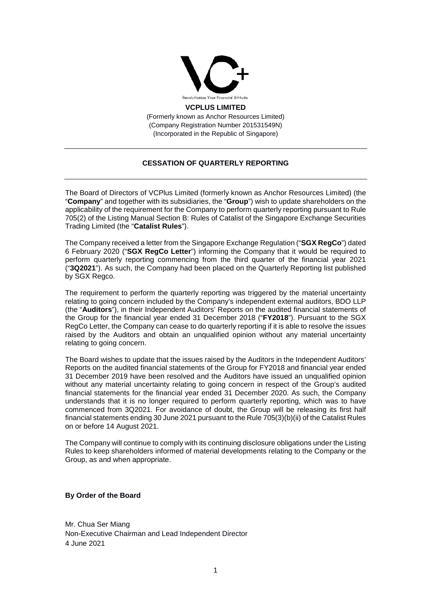

**VCPLUS LIMITED**

(Formerly known as Anchor Resources Limited) (Company Registration Number 201531549N) (Incorporated in the Republic of Singapore)

## **CESSATION OF QUARTERLY REPORTING**

The Board of Directors of VCPlus Limited (formerly known as Anchor Resources Limited) (the "**Company**" and together with its subsidiaries, the "**Group**") wish to update shareholders on the applicability of the requirement for the Company to perform quarterly reporting pursuant to Rule 705(2) of the Listing Manual Section B: Rules of Catalist of the Singapore Exchange Securities Trading Limited (the "**Catalist Rules**").

The Company received a letter from the Singapore Exchange Regulation ("**SGX RegCo**") dated 6 February 2020 ("**SGX RegCo Letter**") informing the Company that it would be required to perform quarterly reporting commencing from the third quarter of the financial year 2021 ("**3Q2021**"). As such, the Company had been placed on the Quarterly Reporting list published by SGX Regco.

The requirement to perform the quarterly reporting was triggered by the material uncertainty relating to going concern included by the Company's independent external auditors, BDO LLP (the "**Auditors**"), in their Independent Auditors' Reports on the audited financial statements of the Group for the financial year ended 31 December 2018 ("**FY2018**"). Pursuant to the SGX RegCo Letter, the Company can cease to do quarterly reporting if it is able to resolve the issues raised by the Auditors and obtain an unqualified opinion without any material uncertainty relating to going concern.

The Board wishes to update that the issues raised by the Auditors in the Independent Auditors' Reports on the audited financial statements of the Group for FY2018 and financial year ended 31 December 2019 have been resolved and the Auditors have issued an unqualified opinion without any material uncertainty relating to going concern in respect of the Group's audited financial statements for the financial year ended 31 December 2020. As such, the Company understands that it is no longer required to perform quarterly reporting, which was to have commenced from 3Q2021. For avoidance of doubt, the Group will be releasing its first half financial statements ending 30 June 2021 pursuant to the Rule 705(3)(b)(ii) of the Catalist Rules on or before 14 August 2021.

The Company will continue to comply with its continuing disclosure obligations under the Listing Rules to keep shareholders informed of material developments relating to the Company or the Group, as and when appropriate.

## **By Order of the Board**

Mr. Chua Ser Miang Non-Executive Chairman and Lead Independent Director 4 June 2021